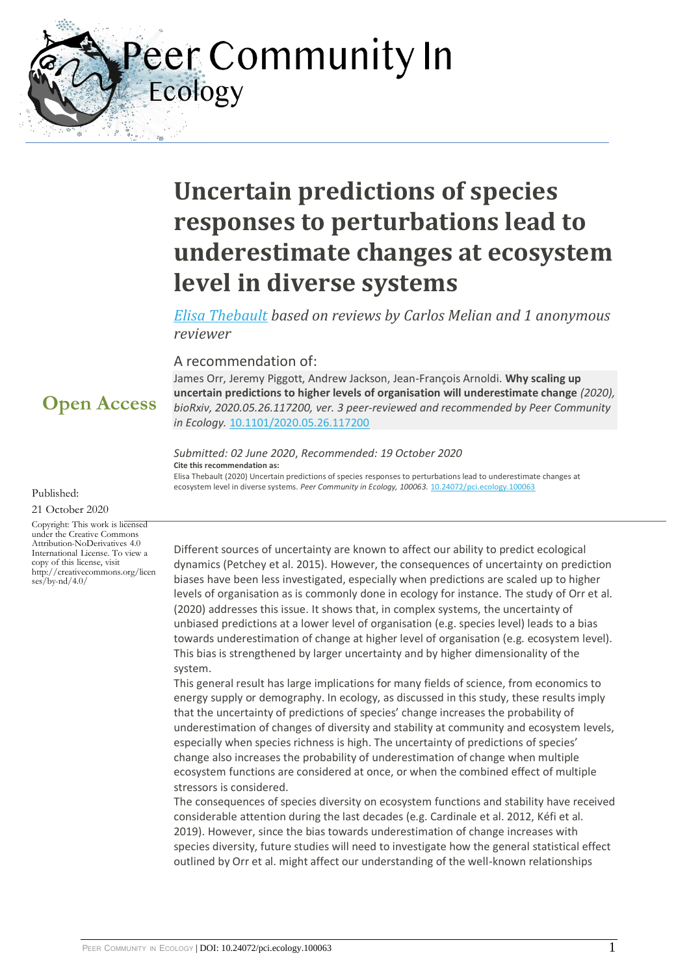Peer Community In Ecology

# **Uncertain predictions of species responses to perturbations lead to underestimate changes at ecosystem level in diverse systems**

*[Elisa Thebault](https://ecology.peercommunityin.org/public/viewUserCard?userId=286) based on reviews by Carlos Melian and 1 anonymous reviewer*

### A recommendation of:

James Orr, Jeremy Piggott, Andrew Jackson, Jean-François Arnoldi. **Why scaling up uncertain predictions to higher levels of organisation will underestimate change** *(2020), bioRxiv, 2020.05.26.117200, ver. 3 peer-reviewed and recommended by Peer Community in Ecology.* [10.1101/2020.05.26.117200](https://doi.org/10.1101/2020.05.26.117200)

#### *Submitted: 02 June 2020*, *Recommended: 19 October 2020* **Cite this recommendation as:**

Elisa Thebault (2020) Uncertain predictions of species responses to perturbations lead to underestimate changes at ecosystem level in diverse systems. Peer Community in Ecology, 100063. [10.24072/pci.ecology.100063](https://doi.org/10.24072/pci.ecology.100063)

Different sources of uncertainty are known to affect our ability to predict ecological dynamics (Petchey et al. 2015). However, the consequences of uncertainty on prediction biases have been less investigated, especially when predictions are scaled up to higher levels of organisation as is commonly done in ecology for instance. The study of Orr et al. (2020) addresses this issue. It shows that, in complex systems, the uncertainty of unbiased predictions at a lower level of organisation (e.g. species level) leads to a bias towards underestimation of change at higher level of organisation (e.g. ecosystem level). This bias is strengthened by larger uncertainty and by higher dimensionality of the system.

This general result has large implications for many fields of science, from economics to energy supply or demography. In ecology, as discussed in this study, these results imply that the uncertainty of predictions of species' change increases the probability of underestimation of changes of diversity and stability at community and ecosystem levels, especially when species richness is high. The uncertainty of predictions of species' change also increases the probability of underestimation of change when multiple ecosystem functions are considered at once, or when the combined effect of multiple stressors is considered.

The consequences of species diversity on ecosystem functions and stability have received considerable attention during the last decades (e.g. Cardinale et al. 2012, Kéfi et al. 2019). However, since the bias towards underestimation of change increases with species diversity, future studies will need to investigate how the general statistical effect outlined by Orr et al. might affect our understanding of the well-known relationships

## **Open Access**

Published:

21 October 2020

Copyright: This work is licensed under the Creative Commons Attribution-NoDerivatives 4.0 International License. To view a copy of this license, visit http://creativecommons.org/licen ses/by-nd/4.0/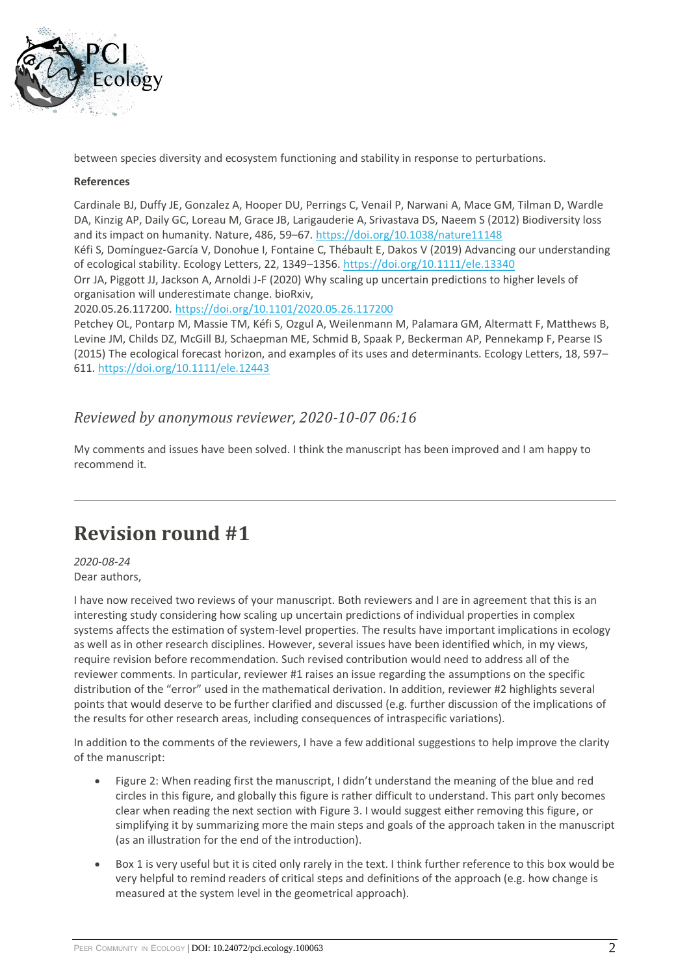

between species diversity and ecosystem functioning and stability in response to perturbations.

#### **References**

Cardinale BJ, Duffy JE, Gonzalez A, Hooper DU, Perrings C, Venail P, Narwani A, Mace GM, Tilman D, Wardle DA, Kinzig AP, Daily GC, Loreau M, Grace JB, Larigauderie A, Srivastava DS, Naeem S (2012) Biodiversity loss and its impact on humanity. Nature, 486, 59–67. <https://doi.org/10.1038/nature11148>

Kéfi S, Domínguez‐García V, Donohue I, Fontaine C, Thébault E, Dakos V (2019) Advancing our understanding of ecological stability. Ecology Letters, 22, 1349–1356. <https://doi.org/10.1111/ele.13340>

Orr JA, Piggott JJ, Jackson A, Arnoldi J-F (2020) Why scaling up uncertain predictions to higher levels of organisation will underestimate change. bioRxiv,

2020.05.26.117200. <https://doi.org/10.1101/2020.05.26.117200>

Petchey OL, Pontarp M, Massie TM, Kéfi S, Ozgul A, Weilenmann M, Palamara GM, Altermatt F, Matthews B, Levine JM, Childs DZ, McGill BJ, Schaepman ME, Schmid B, Spaak P, Beckerman AP, Pennekamp F, Pearse IS (2015) The ecological forecast horizon, and examples of its uses and determinants. Ecology Letters, 18, 597– 611. <https://doi.org/10.1111/ele.12443>

### *Reviewed by anonymous reviewer, 2020-10-07 06:16*

My comments and issues have been solved. I think the manuscript has been improved and I am happy to recommend it.

## **Revision round #1**

*2020-08-24* Dear authors,

I have now received two reviews of your manuscript. Both reviewers and I are in agreement that this is an interesting study considering how scaling up uncertain predictions of individual properties in complex systems affects the estimation of system-level properties. The results have important implications in ecology as well as in other research disciplines. However, several issues have been identified which, in my views, require revision before recommendation. Such revised contribution would need to address all of the reviewer comments. In particular, reviewer #1 raises an issue regarding the assumptions on the specific distribution of the "error" used in the mathematical derivation. In addition, reviewer #2 highlights several points that would deserve to be further clarified and discussed (e.g. further discussion of the implications of the results for other research areas, including consequences of intraspecific variations).

In addition to the comments of the reviewers, I have a few additional suggestions to help improve the clarity of the manuscript:

- Figure 2: When reading first the manuscript, I didn't understand the meaning of the blue and red circles in this figure, and globally this figure is rather difficult to understand. This part only becomes clear when reading the next section with Figure 3. I would suggest either removing this figure, or simplifying it by summarizing more the main steps and goals of the approach taken in the manuscript (as an illustration for the end of the introduction).
- Box 1 is very useful but it is cited only rarely in the text. I think further reference to this box would be very helpful to remind readers of critical steps and definitions of the approach (e.g. how change is measured at the system level in the geometrical approach).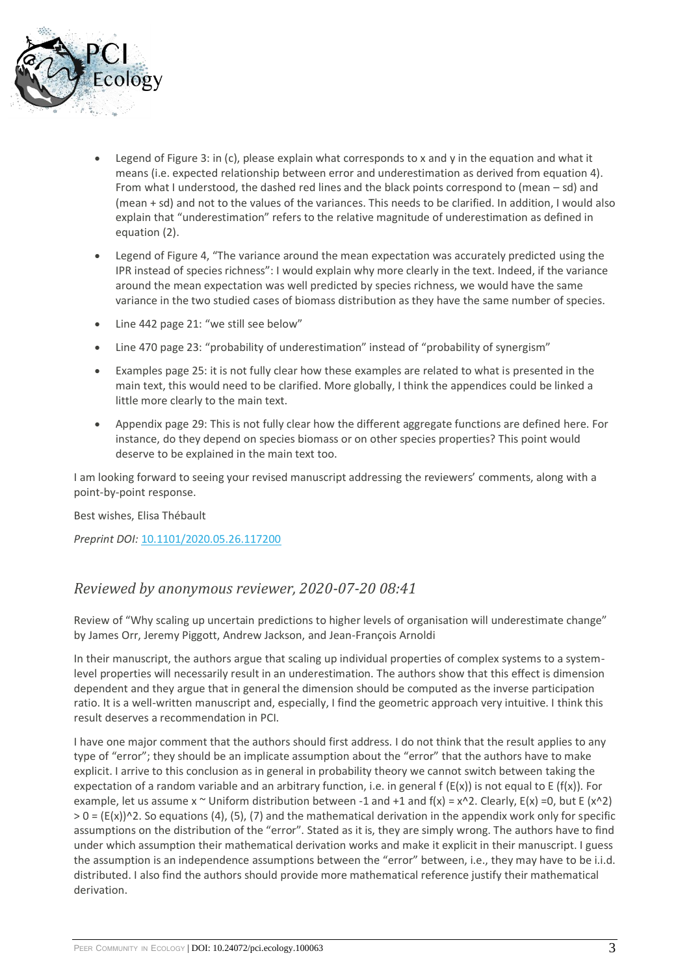

- Legend of Figure 3: in (c), please explain what corresponds to x and y in the equation and what it means (i.e. expected relationship between error and underestimation as derived from equation 4). From what I understood, the dashed red lines and the black points correspond to (mean – sd) and (mean + sd) and not to the values of the variances. This needs to be clarified. In addition, I would also explain that "underestimation" refers to the relative magnitude of underestimation as defined in equation (2).
- Legend of Figure 4, "The variance around the mean expectation was accurately predicted using the IPR instead of species richness": I would explain why more clearly in the text. Indeed, if the variance around the mean expectation was well predicted by species richness, we would have the same variance in the two studied cases of biomass distribution as they have the same number of species.
- Line 442 page 21: "we still see below"
- Line 470 page 23: "probability of underestimation" instead of "probability of synergism"
- Examples page 25: it is not fully clear how these examples are related to what is presented in the main text, this would need to be clarified. More globally, I think the appendices could be linked a little more clearly to the main text.
- Appendix page 29: This is not fully clear how the different aggregate functions are defined here. For instance, do they depend on species biomass or on other species properties? This point would deserve to be explained in the main text too.

I am looking forward to seeing your revised manuscript addressing the reviewers' comments, along with a point-by-point response.

Best wishes, Elisa Thébault

*Preprint DOI:* [10.1101/2020.05.26.117200](https://doi.org/10.1101/2020.05.26.117200)

### *Reviewed by anonymous reviewer, 2020-07-20 08:41*

Review of "Why scaling up uncertain predictions to higher levels of organisation will underestimate change" by James Orr, Jeremy Piggott, Andrew Jackson, and Jean-François Arnoldi

In their manuscript, the authors argue that scaling up individual properties of complex systems to a systemlevel properties will necessarily result in an underestimation. The authors show that this effect is dimension dependent and they argue that in general the dimension should be computed as the inverse participation ratio. It is a well-written manuscript and, especially, I find the geometric approach very intuitive. I think this result deserves a recommendation in PCI.

I have one major comment that the authors should first address. I do not think that the result applies to any type of "error"; they should be an implicate assumption about the "error" that the authors have to make explicit. I arrive to this conclusion as in general in probability theory we cannot switch between taking the expectation of a random variable and an arbitrary function, i.e. in general  $f(E(x))$  is not equal to E ( $f(x)$ ). For example, let us assume  $x \sim$  Uniform distribution between -1 and +1 and f(x) =  $x \sim$  2. Clearly, E(x) =0, but E (x $\sim$ 2)  $> 0 = (E(x))^2$ . So equations (4), (5), (7) and the mathematical derivation in the appendix work only for specific assumptions on the distribution of the "error". Stated as it is, they are simply wrong. The authors have to find under which assumption their mathematical derivation works and make it explicit in their manuscript. I guess the assumption is an independence assumptions between the "error" between, i.e., they may have to be i.i.d. distributed. I also find the authors should provide more mathematical reference justify their mathematical derivation.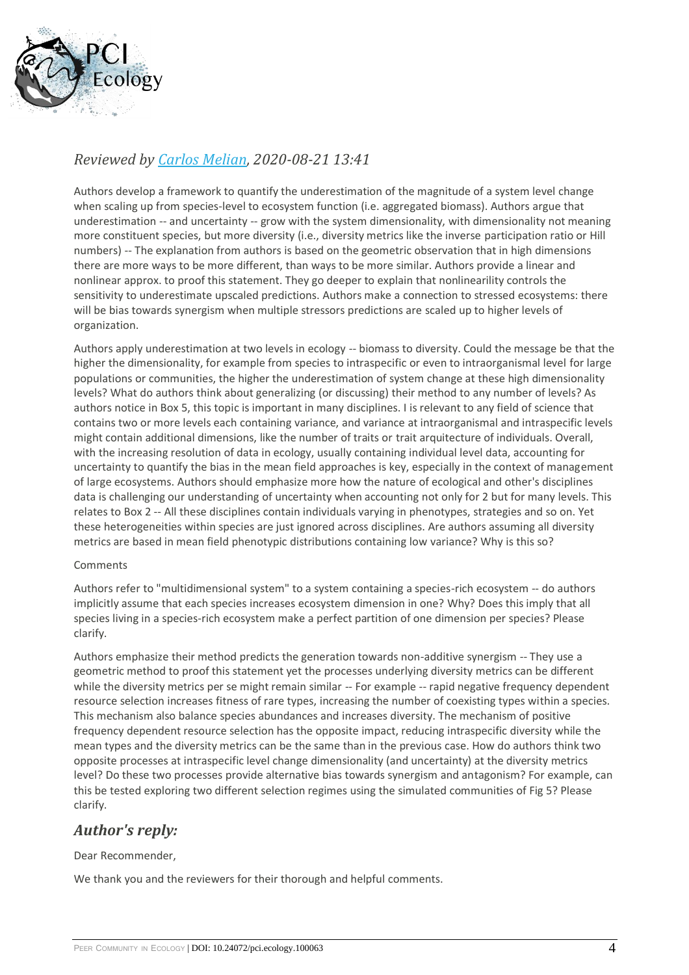

## *Reviewed by [Carlos Melian,](https://ecology.peercommunityin.org/public/viewUserCard?userId=35) 2020-08-21 13:41*

Authors develop a framework to quantify the underestimation of the magnitude of a system level change when scaling up from species-level to ecosystem function (i.e. aggregated biomass). Authors argue that underestimation -- and uncertainty -- grow with the system dimensionality, with dimensionality not meaning more constituent species, but more diversity (i.e., diversity metrics like the inverse participation ratio or Hill numbers) -- The explanation from authors is based on the geometric observation that in high dimensions there are more ways to be more different, than ways to be more similar. Authors provide a linear and nonlinear approx. to proof this statement. They go deeper to explain that nonlinearility controls the sensitivity to underestimate upscaled predictions. Authors make a connection to stressed ecosystems: there will be bias towards synergism when multiple stressors predictions are scaled up to higher levels of organization.

Authors apply underestimation at two levels in ecology -- biomass to diversity. Could the message be that the higher the dimensionality, for example from species to intraspecific or even to intraorganismal level for large populations or communities, the higher the underestimation of system change at these high dimensionality levels? What do authors think about generalizing (or discussing) their method to any number of levels? As authors notice in Box 5, this topic is important in many disciplines. I is relevant to any field of science that contains two or more levels each containing variance, and variance at intraorganismal and intraspecific levels might contain additional dimensions, like the number of traits or trait arquitecture of individuals. Overall, with the increasing resolution of data in ecology, usually containing individual level data, accounting for uncertainty to quantify the bias in the mean field approaches is key, especially in the context of management of large ecosystems. Authors should emphasize more how the nature of ecological and other's disciplines data is challenging our understanding of uncertainty when accounting not only for 2 but for many levels. This relates to Box 2 -- All these disciplines contain individuals varying in phenotypes, strategies and so on. Yet these heterogeneities within species are just ignored across disciplines. Are authors assuming all diversity metrics are based in mean field phenotypic distributions containing low variance? Why is this so?

### Comments

Authors refer to "multidimensional system" to a system containing a species-rich ecosystem -- do authors implicitly assume that each species increases ecosystem dimension in one? Why? Does this imply that all species living in a species-rich ecosystem make a perfect partition of one dimension per species? Please clarify.

Authors emphasize their method predicts the generation towards non-additive synergism -- They use a geometric method to proof this statement yet the processes underlying diversity metrics can be different while the diversity metrics per se might remain similar -- For example -- rapid negative frequency dependent resource selection increases fitness of rare types, increasing the number of coexisting types within a species. This mechanism also balance species abundances and increases diversity. The mechanism of positive frequency dependent resource selection has the opposite impact, reducing intraspecific diversity while the mean types and the diversity metrics can be the same than in the previous case. How do authors think two opposite processes at intraspecific level change dimensionality (and uncertainty) at the diversity metrics level? Do these two processes provide alternative bias towards synergism and antagonism? For example, can this be tested exploring two different selection regimes using the simulated communities of Fig 5? Please clarify.

## *Author's reply:*

### Dear Recommender,

We thank you and the reviewers for their thorough and helpful comments.